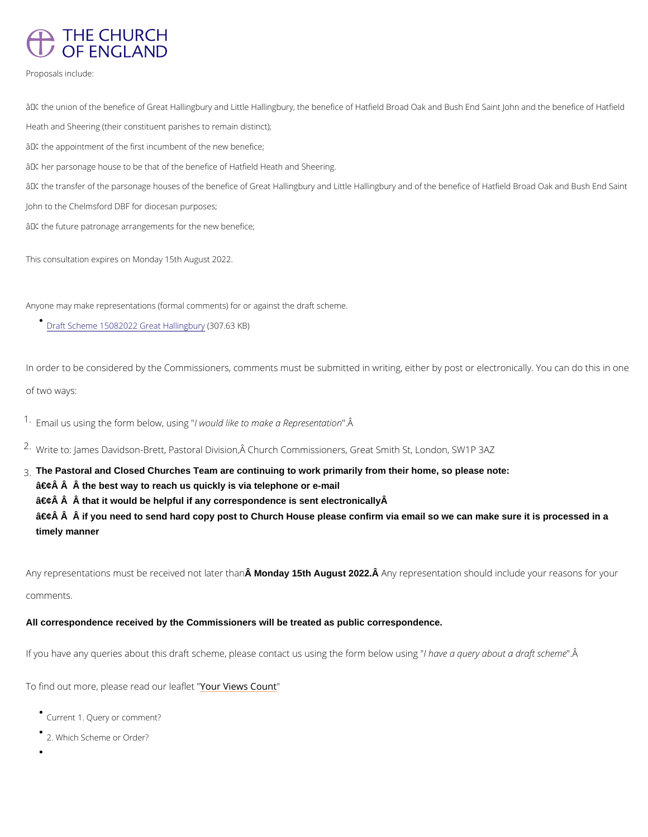

Proposals include:

 $\hat{a} \in \mathfrak{c}$  the union of the benefice of Great Hallingbury and Little Hallingbury, the benefice of Hatfield Broad Heath and Sheering (their constituent parishes to remain distinct);

 $\hat{a} \in \mathfrak{c}$  the appointment of the first incumbent of the new benefice;

 $\hat{a} \in \mathfrak{c}$  her parsonage house to be that of the benefice of Hatfield Heath and Sheering.

 $\hat{a} \in \mathfrak{c}$  the transfer of the parsonage houses of the benefice of Great Hallingbury and Little Hallingbury and John to the Chelmsford DBF for diocesan purposes;

 $\hat{a} \in \mathfrak{c}$  the future patronage arrangements for the new benefice;

In order to be considered by the Commissioners, comments must be submitted in writing, eith of two ways:

 $1.5$  F mail us using the form lbe bouwld luiskieng to make a "R  $\hat{A}$  presentation

<sup>2</sup> Write to: James Davidson-Brett, Pastoral Division, Â Church Commissioners, Great Smith St

This consultation expires on Monday 15th August 2022.

 $\hat{a} \in \hat{c}$   $\hat{A}$   $\hat{A}$  if you need to send hard copy post to Church House please confirm via email so we can make sure it is processed in a timely manner

Anyone may make representations (formal comments) for or against the draft scheme.

 $Draff$  Scheme 15082022 Gre( $30$ 7.63 $3$ inK $(B)$ )ury

Any representations must be recein Mondayn 15th Anuguest 2022. Any representation should include your comments.

- Current Query or comment?
- 2. Which Scheme or Order?
- 

3.The Pastoral and Closed Churches Team are continuing to work primarily from their home, so please note:

 $\hat{a} \in \hat{c}$   $\hat{A}$   $\hat{A}$  the best way to reach us quickly is via telephone or e-mail

 $\hat{a} \in \hat{c}$   $\hat{A}$   $\hat{A}$  that it would be helpful if any correspondence is sent electronically  $\hat{A}$ 

All correspondence received by the Commissioners will be treated as public correspondence.

If you have any queries about this draft scheme, please conhancaty us au suine ou than below the formal position the form below the form below using the form and the form and the form and the substant such a draft scheme .

To find out more, please read roline west theoru ht